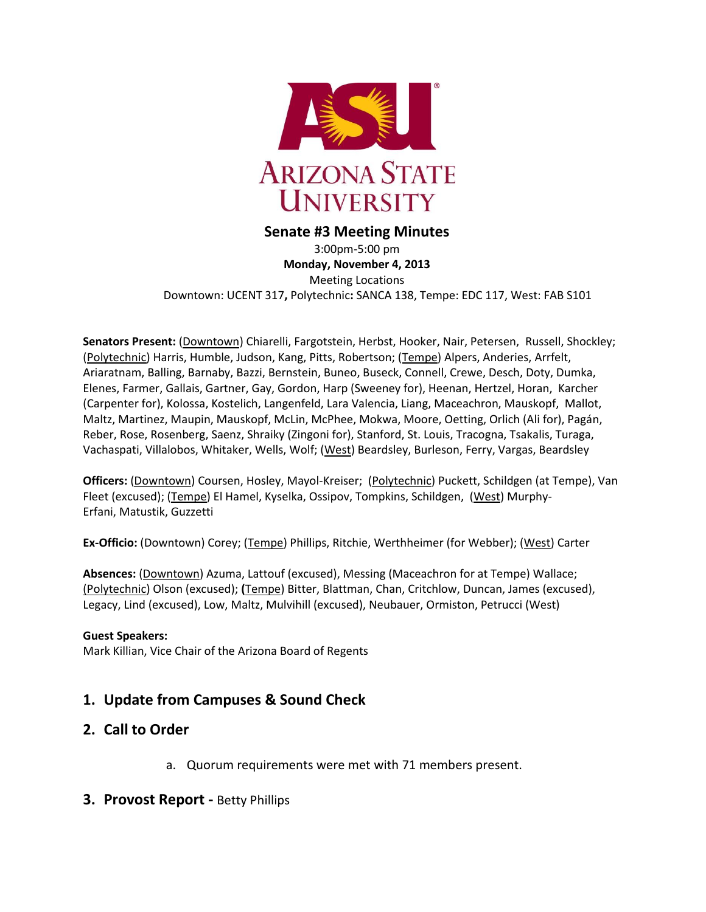

## **Senate #3 Meeting Minutes**

3:00pm-5:00 pm **Monday, November 4, 2013** Meeting Locations Downtown: UCENT 317**,** Polytechnic**:** SANCA 138, Tempe: EDC 117, West: FAB S101

**Senators Present:** (Downtown) Chiarelli, Fargotstein, Herbst, Hooker, Nair, Petersen, Russell, Shockley; (Polytechnic) Harris, Humble, Judson, Kang, Pitts, Robertson; (Tempe) Alpers, Anderies, Arrfelt, Ariaratnam, Balling, Barnaby, Bazzi, Bernstein, Buneo, Buseck, Connell, Crewe, Desch, Doty, Dumka, Elenes, Farmer, Gallais, Gartner, Gay, Gordon, Harp (Sweeney for), Heenan, Hertzel, Horan, Karcher (Carpenter for), Kolossa, Kostelich, Langenfeld, Lara Valencia, Liang, Maceachron, Mauskopf, Mallot, Maltz, Martinez, Maupin, Mauskopf, McLin, McPhee, Mokwa, Moore, Oetting, Orlich (Ali for), Pagán, Reber, Rose, Rosenberg, Saenz, Shraiky (Zingoni for), Stanford, St. Louis, Tracogna, Tsakalis, Turaga, Vachaspati, Villalobos, Whitaker, Wells, Wolf; (West) Beardsley, Burleson, Ferry, Vargas, Beardsley

**Officers:** (Downtown) Coursen, Hosley, Mayol-Kreiser; (Polytechnic) Puckett, Schildgen (at Tempe), Van Fleet (excused); (Tempe) El Hamel, Kyselka, Ossipov, Tompkins, Schildgen, (West) Murphy-Erfani, Matustik, Guzzetti

**Ex-Officio:** (Downtown) Corey; (Tempe) Phillips, Ritchie, Werthheimer (for Webber); (West) Carter

**Absences:** (Downtown) Azuma, Lattouf (excused), Messing (Maceachron for at Tempe) Wallace; (Polytechnic) Olson (excused); **(**Tempe) Bitter, Blattman, Chan, Critchlow, Duncan, James (excused), Legacy, Lind (excused), Low, Maltz, Mulvihill (excused), Neubauer, Ormiston, Petrucci (West)

#### **Guest Speakers:**

Mark Killian, Vice Chair of the Arizona Board of Regents

# **1. Update from Campuses & Sound Check**

# **2. Call to Order**

a. Quorum requirements were met with 71 members present.

## **3. Provost Report -** Betty Phillips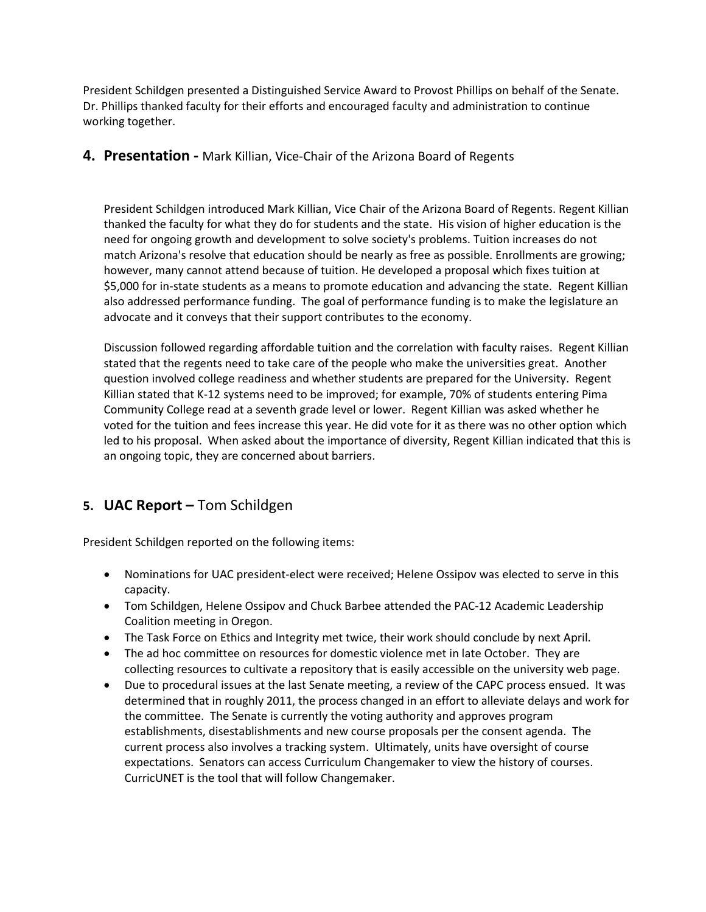President Schildgen presented a Distinguished Service Award to Provost Phillips on behalf of the Senate. Dr. Phillips thanked faculty for their efforts and encouraged faculty and administration to continue working together.

## **4. Presentation -** Mark Killian, Vice-Chair of the Arizona Board of Regents

President Schildgen introduced Mark Killian, Vice Chair of the Arizona Board of Regents. Regent Killian thanked the faculty for what they do for students and the state. His vision of higher education is the need for ongoing growth and development to solve society's problems. Tuition increases do not match Arizona's resolve that education should be nearly as free as possible. Enrollments are growing; however, many cannot attend because of tuition. He developed a proposal which fixes tuition at \$5,000 for in-state students as a means to promote education and advancing the state. Regent Killian also addressed performance funding. The goal of performance funding is to make the legislature an advocate and it conveys that their support contributes to the economy.

Discussion followed regarding affordable tuition and the correlation with faculty raises. Regent Killian stated that the regents need to take care of the people who make the universities great. Another question involved college readiness and whether students are prepared for the University. Regent Killian stated that K-12 systems need to be improved; for example, 70% of students entering Pima Community College read at a seventh grade level or lower. Regent Killian was asked whether he voted for the tuition and fees increase this year. He did vote for it as there was no other option which led to his proposal. When asked about the importance of diversity, Regent Killian indicated that this is an ongoing topic, they are concerned about barriers.

# **5. UAC Report –** Tom Schildgen

President Schildgen reported on the following items:

- Nominations for UAC president-elect were received; Helene Ossipov was elected to serve in this capacity.
- Tom Schildgen, Helene Ossipov and Chuck Barbee attended the PAC-12 Academic Leadership Coalition meeting in Oregon.
- The Task Force on Ethics and Integrity met twice, their work should conclude by next April.
- The ad hoc committee on resources for domestic violence met in late October. They are collecting resources to cultivate a repository that is easily accessible on the university web page.
- Due to procedural issues at the last Senate meeting, a review of the CAPC process ensued. It was determined that in roughly 2011, the process changed in an effort to alleviate delays and work for the committee. The Senate is currently the voting authority and approves program establishments, disestablishments and new course proposals per the consent agenda. The current process also involves a tracking system. Ultimately, units have oversight of course expectations. Senators can access Curriculum Changemaker to view the history of courses. CurricUNET is the tool that will follow Changemaker.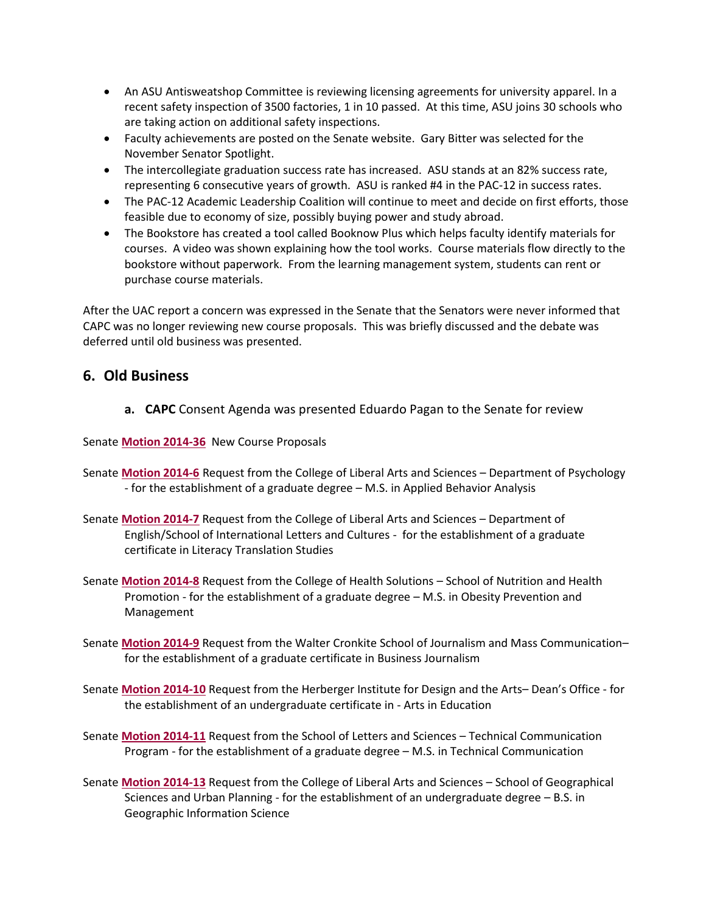- An ASU Antisweatshop Committee is reviewing licensing agreements for university apparel. In a recent safety inspection of 3500 factories, 1 in 10 passed. At this time, ASU joins 30 schools who are taking action on additional safety inspections.
- Faculty achievements are posted on the Senate website. Gary Bitter was selected for the November Senator Spotlight.
- The intercollegiate graduation success rate has increased. ASU stands at an 82% success rate, representing 6 consecutive years of growth. ASU is ranked #4 in the PAC-12 in success rates.
- The PAC-12 Academic Leadership Coalition will continue to meet and decide on first efforts, those feasible due to economy of size, possibly buying power and study abroad.
- The Bookstore has created a tool called Booknow Plus which helps faculty identify materials for courses. A video was shown explaining how the tool works. Course materials flow directly to the bookstore without paperwork. From the learning management system, students can rent or purchase course materials.

After the UAC report a concern was expressed in the Senate that the Senators were never informed that CAPC was no longer reviewing new course proposals. This was briefly discussed and the debate was deferred until old business was presented.

# **6. Old Business**

**a. CAPC** Consent Agenda was presented Eduardo Pagan to the Senate for review

Senate **[Motion 2014-36](http://usenate.asu.edu/node/4829)** New Course Proposals

- Senate **[Motion 2014-6](http://usenate.asu.edu/node/4778)** Request from the College of Liberal Arts and Sciences Department of Psychology - for the establishment of a graduate degree – M.S. in Applied Behavior Analysis
- Senate **[Motion 2014-7](http://usenate.asu.edu/node/4779)** Request from the College of Liberal Arts and Sciences Department of English/School of International Letters and Cultures - for the establishment of a graduate certificate in Literacy Translation Studies
- Senate **[Motion 2014-8](http://usenate.asu.edu/node/4780)** Request from the College of Health Solutions School of Nutrition and Health Promotion - for the establishment of a graduate degree – M.S. in Obesity Prevention and Management
- Senate **[Motion 2014-9](http://usenate.asu.edu/node/4781)** Request from the Walter Cronkite School of Journalism and Mass Communication– for the establishment of a graduate certificate in Business Journalism
- Senate **[Motion 2014-10](http://usenate.asu.edu/node/4783)** Request from the Herberger Institute for Design and the Arts– Dean's Office for the establishment of an undergraduate certificate in - Arts in Education
- Senate **[Motion 2014-11](http://usenate.asu.edu/node/4784)** Request from the School of Letters and Sciences Technical Communication Program - for the establishment of a graduate degree – M.S. in Technical Communication
- Senate **[Motion 2014-13](http://usenate.asu.edu/node/4786)** Request from the College of Liberal Arts and Sciences School of Geographical Sciences and Urban Planning - for the establishment of an undergraduate degree – B.S. in Geographic Information Science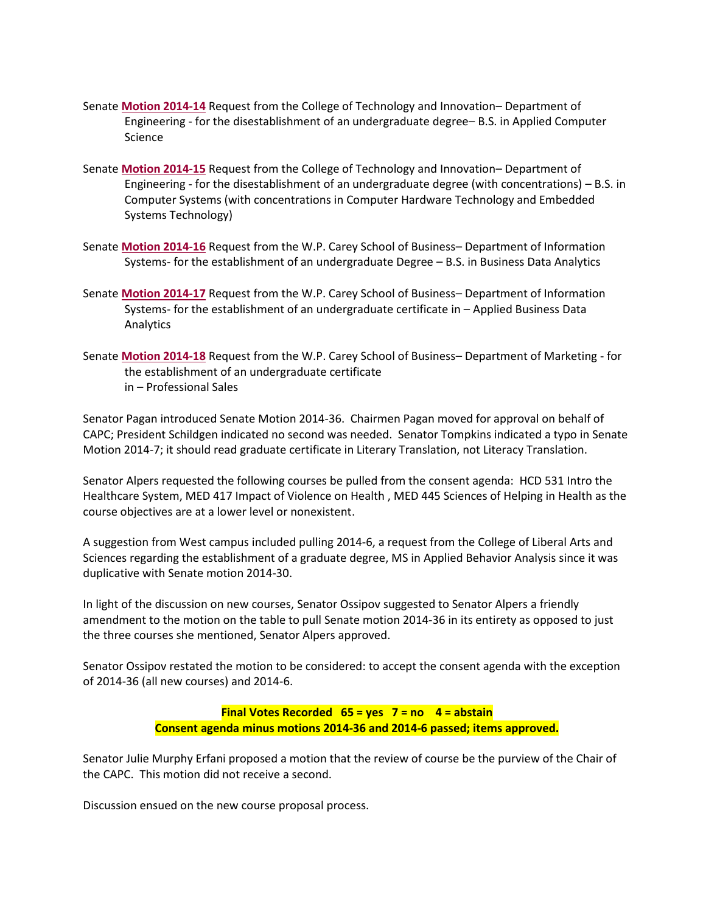- Senate **[Motion 2014-14](http://usenate.asu.edu/node/4788)** Request from the College of Technology and Innovation– Department of Engineering - for the disestablishment of an undergraduate degree– B.S. in Applied Computer Science
- Senate **[Motion 2014-15](http://usenate.asu.edu/node/4789)** Request from the College of Technology and Innovation– Department of Engineering - for the disestablishment of an undergraduate degree (with concentrations) – B.S. in Computer Systems (with concentrations in Computer Hardware Technology and Embedded Systems Technology)
- Senate **[Motion 2014-16](http://usenate.asu.edu/node/4790)** Request from the W.P. Carey School of Business– Department of Information Systems- for the establishment of an undergraduate Degree – B.S. in Business Data Analytics
- Senate **[Motion 2014-17](http://usenate.asu.edu/node/4791)** Request from the W.P. Carey School of Business– Department of Information Systems- for the establishment of an undergraduate certificate in – Applied Business Data Analytics
- Senate **[Motion 2014-18](http://usenate.asu.edu/node/4792)** Request from the W.P. Carey School of Business– Department of Marketing for the establishment of an undergraduate certificate in – Professional Sales

Senator Pagan introduced Senate Motion 2014-36. Chairmen Pagan moved for approval on behalf of CAPC; President Schildgen indicated no second was needed. Senator Tompkins indicated a typo in Senate Motion 2014-7; it should read graduate certificate in Literary Translation, not Literacy Translation.

Senator Alpers requested the following courses be pulled from the consent agenda: HCD 531 Intro the Healthcare System, MED 417 Impact of Violence on Health , MED 445 Sciences of Helping in Health as the course objectives are at a lower level or nonexistent.

A suggestion from West campus included pulling 2014-6, a request from the College of Liberal Arts and Sciences regarding the establishment of a graduate degree, MS in Applied Behavior Analysis since it was duplicative with Senate motion 2014-30.

In light of the discussion on new courses, Senator Ossipov suggested to Senator Alpers a friendly amendment to the motion on the table to pull Senate motion 2014-36 in its entirety as opposed to just the three courses she mentioned, Senator Alpers approved.

Senator Ossipov restated the motion to be considered: to accept the consent agenda with the exception of 2014-36 (all new courses) and 2014-6.

#### **Final Votes Recorded 65 = yes 7 = no 4 = abstain Consent agenda minus motions 2014-36 and 2014-6 passed; items approved.**

Senator Julie Murphy Erfani proposed a motion that the review of course be the purview of the Chair of the CAPC. This motion did not receive a second.

Discussion ensued on the new course proposal process.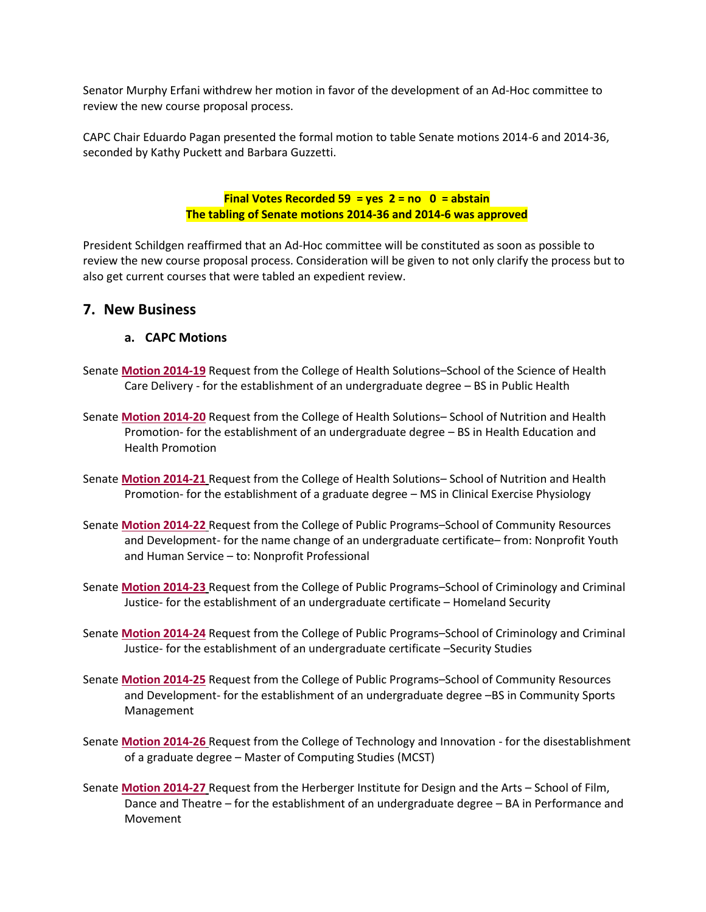Senator Murphy Erfani withdrew her motion in favor of the development of an Ad-Hoc committee to review the new course proposal process.

CAPC Chair Eduardo Pagan presented the formal motion to table Senate motions 2014-6 and 2014-36, seconded by Kathy Puckett and Barbara Guzzetti.

> **Final Votes Recorded 59 = yes 2 = no 0 = abstain The tabling of Senate motions 2014-36 and 2014-6 was approved**

President Schildgen reaffirmed that an Ad-Hoc committee will be constituted as soon as possible to review the new course proposal process. Consideration will be given to not only clarify the process but to also get current courses that were tabled an expedient review.

## **7. New Business**

#### **a. CAPC Motions**

- Senate **[Motion 2014-19](http://usenate.asu.edu/node/4811)** Request from the College of Health Solutions–School of the Science of Health Care Delivery - for the establishment of an undergraduate degree – BS in Public Health
- Senate **[Motion 2014-20](http://usenate.asu.edu/node/4812)** Request from the College of Health Solutions– School of Nutrition and Health Promotion- for the establishment of an undergraduate degree – BS in Health Education and Health Promotion
- Senate **[Motion 2014-21](http://usenate.asu.edu/node/4813)** Request from the College of Health Solutions– School of Nutrition and Health Promotion- for the establishment of a graduate degree – MS in Clinical Exercise Physiology
- Senate **[Motion 2014-22](http://usenate.asu.edu/node/4814)** Request from the College of Public Programs–School of Community Resources and Development- for the name change of an undergraduate certificate– from: Nonprofit Youth and Human Service – to: Nonprofit Professional
- Senate **[Motion 2014-23](http://usenate.asu.edu/node/4815)** Request from the College of Public Programs–School of Criminology and Criminal Justice- for the establishment of an undergraduate certificate – Homeland Security
- Senate **[Motion 2014-24](http://usenate.asu.edu/node/4816)** Request from the College of Public Programs–School of Criminology and Criminal Justice- for the establishment of an undergraduate certificate –Security Studies
- Senate **[Motion 2014-25](http://usenate.asu.edu/node/4817)** Request from the College of Public Programs–School of Community Resources and Development- for the establishment of an undergraduate degree –BS in Community Sports Management
- Senate **[Motion 2014-26](http://usenate.asu.edu/node/4818)** Request from the College of Technology and Innovation for the disestablishment of a graduate degree – Master of Computing Studies (MCST)
- Senate **[Motion 2014-27](http://usenate.asu.edu/node/4819)** Request from the Herberger Institute for Design and the Arts School of Film, Dance and Theatre – for the establishment of an undergraduate degree – BA in Performance and Movement